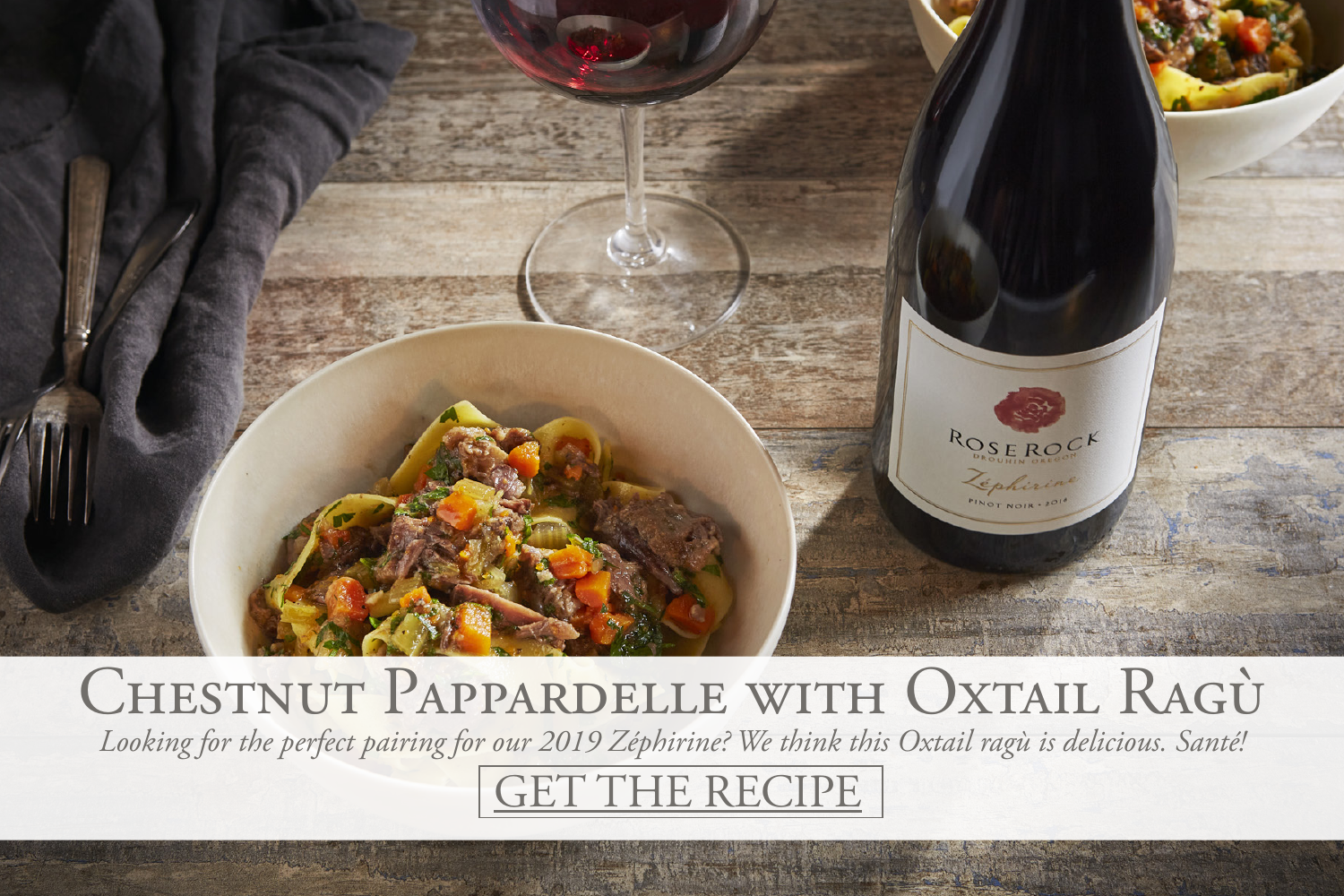

## CHESTNUT PAPPARDELLE WITH OXTAIL RAGÙ *Looking for the perfect pairing for our 2019 Zéphirine? We think this Oxtail ragù is delicious. Santé!*